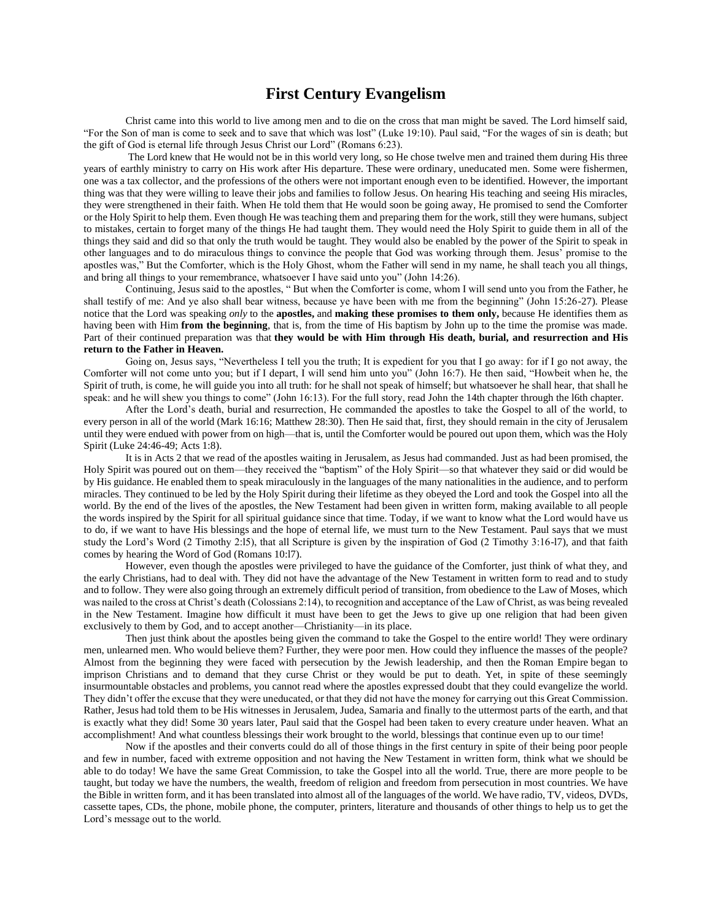## **First Century Evangelism**

Christ came into this world to live among men and to die on the cross that man might be saved. The Lord himself said, "For the Son of man is come to seek and to save that which was lost" (Luke 19:10). Paul said, "For the wages of sin is death; but the gift of God is eternal life through Jesus Christ our Lord" (Romans 6:23).

The Lord knew that He would not be in this world very long, so He chose twelve men and trained them during His three years of earthly ministry to carry on His work after His departure. These were ordinary, uneducated men. Some were fishermen, one was a tax collector, and the professions of the others were not important enough even to be identified. However, the important thing was that they were willing to leave their jobs and families to follow Jesus. On hearing His teaching and seeing His miracles, they were strengthened in their faith. When He told them that He would soon be going away, He promised to send the Comforter or the Holy Spirit to help them. Even though He was teaching them and preparing them for the work, still they were humans, subject to mistakes, certain to forget many of the things He had taught them. They would need the Holy Spirit to guide them in all of the things they said and did so that only the truth would be taught. They would also be enabled by the power of the Spirit to speak in other languages and to do miraculous things to convince the people that God was working through them. Jesus' promise to the apostles was," But the Comforter, which is the Holy Ghost, whom the Father will send in my name, he shall teach you all things, and bring all things to your remembrance, whatsoever I have said unto you" (John 14:26).

Continuing, Jesus said to the apostles, " But when the Comforter is come, whom I will send unto you from the Father, he shall testify of me: And ye also shall bear witness, because ye have been with me from the beginning" (John 15:26-27). Please notice that the Lord was speaking *only* to the **apostles,** and **making these promises to them only,** because He identifies them as having been with Him **from the beginning**, that is, from the time of His baptism by John up to the time the promise was made. Part of their continued preparation was that **they would be with Him through His death, burial, and resurrection and His return to the Father in Heaven.**

Going on, Jesus says, "Nevertheless I tell you the truth; It is expedient for you that I go away: for if I go not away, the Comforter will not come unto you; but if I depart, I will send him unto you" (John 16:7). He then said, "Howbeit when he, the Spirit of truth, is come, he will guide you into all truth: for he shall not speak of himself; but whatsoever he shall hear, that shall he speak: and he will shew you things to come" (John 16:13). For the full story, read John the 14th chapter through the l6th chapter.

After the Lord's death, burial and resurrection, He commanded the apostles to take the Gospel to all of the world, to every person in all of the world (Mark 16:16; Matthew 28:30). Then He said that, first, they should remain in the city of Jerusalem until they were endued with power from on high—that is, until the Comforter would be poured out upon them, which was the Holy Spirit (Luke 24:46-49; Acts 1:8).

It is in Acts 2 that we read of the apostles waiting in Jerusalem, as Jesus had commanded. Just as had been promised, the Holy Spirit was poured out on them—they received the "baptism" of the Holy Spirit—so that whatever they said or did would be by His guidance. He enabled them to speak miraculously in the languages of the many nationalities in the audience, and to perform miracles. They continued to be led by the Holy Spirit during their lifetime as they obeyed the Lord and took the Gospel into all the world. By the end of the lives of the apostles, the New Testament had been given in written form, making available to all people the words inspired by the Spirit for all spiritual guidance since that time. Today, if we want to know what the Lord would have us to do, if we want to have His blessings and the hope of eternal life, we must turn to the New Testament. Paul says that we must study the Lord's Word (2 Timothy 2:l5), that all Scripture is given by the inspiration of God (2 Timothy 3:16-l7), and that faith comes by hearing the Word of God (Romans 10:l7).

However, even though the apostles were privileged to have the guidance of the Comforter, just think of what they, and the early Christians, had to deal with. They did not have the advantage of the New Testament in written form to read and to study and to follow. They were also going through an extremely difficult period of transition, from obedience to the Law of Moses, which was nailed to the cross at Christ's death (Colossians 2:14), to recognition and acceptance of the Law of Christ, as was being revealed in the New Testament. Imagine how difficult it must have been to get the Jews to give up one religion that had been given exclusively to them by God, and to accept another—Christianity—in its place.

Then just think about the apostles being given the command to take the Gospel to the entire world! They were ordinary men, unlearned men. Who would believe them? Further, they were poor men. How could they influence the masses of the people? Almost from the beginning they were faced with persecution by the Jewish leadership, and then the Roman Empire began to imprison Christians and to demand that they curse Christ or they would be put to death. Yet, in spite of these seemingly insurmountable obstacles and problems, you cannot read where the apostles expressed doubt that they could evangelize the world. They didn't offer the excuse that they were uneducated, or that they did not have the money for carrying out this Great Commission. Rather, Jesus had told them to be His witnesses in Jerusalem, Judea, Samaria and finally to the uttermost parts of the earth, and that is exactly what they did! Some 30 years later, Paul said that the Gospel had been taken to every creature under heaven. What an accomplishment! And what countless blessings their work brought to the world, blessings that continue even up to our time!

Now if the apostles and their converts could do all of those things in the first century in spite of their being poor people and few in number, faced with extreme opposition and not having the New Testament in written form, think what we should be able to do today! We have the same Great Commission, to take the Gospel into all the world. True, there are more people to be taught, but today we have the numbers, the wealth, freedom of religion and freedom from persecution in most countries. We have the Bible in written form, and it has been translated into almost all of the languages of the world. We have radio, TV, videos, DVDs, cassette tapes, CDs, the phone, mobile phone, the computer, printers, literature and thousands of other things to help us to get the Lord's message out to the world.